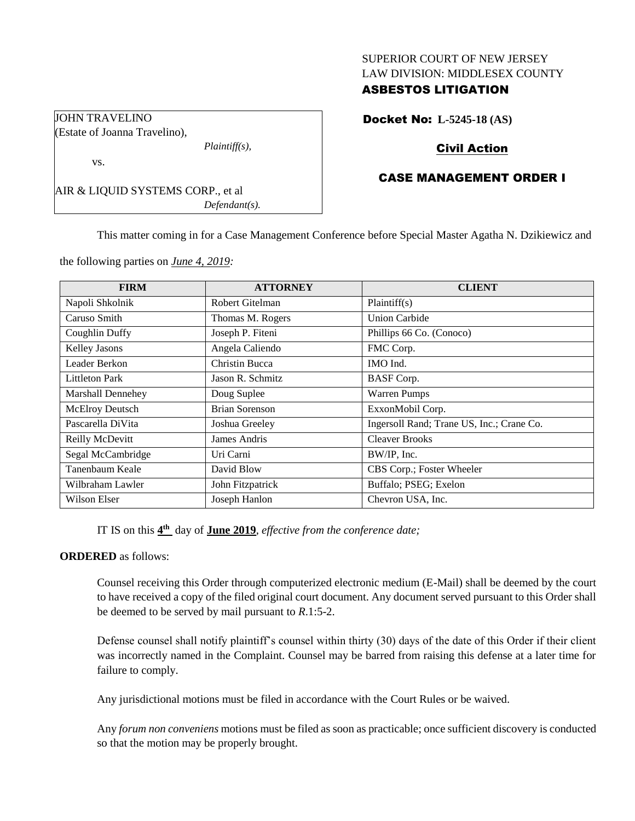#### SUPERIOR COURT OF NEW JERSEY LAW DIVISION: MIDDLESEX COUNTY

## ASBESTOS LITIGATION

Docket No: **L-5245-18 (AS)**

# Civil Action

## CASE MANAGEMENT ORDER I

AIR & LIQUID SYSTEMS CORP., et al *Defendant(s).*

*Plaintiff(s),*

This matter coming in for a Case Management Conference before Special Master Agatha N. Dzikiewicz and

the following parties on *June 4, 2019:*

JOHN TRAVELINO

vs.

(Estate of Joanna Travelino),

| <b>FIRM</b>           | <b>ATTORNEY</b>       | <b>CLIENT</b>                             |
|-----------------------|-----------------------|-------------------------------------------|
| Napoli Shkolnik       | Robert Gitelman       | Plaintiff(s)                              |
| Caruso Smith          | Thomas M. Rogers      | <b>Union Carbide</b>                      |
| Coughlin Duffy        | Joseph P. Fiteni      | Phillips 66 Co. (Conoco)                  |
| Kelley Jasons         | Angela Caliendo       | FMC Corp.                                 |
| Leader Berkon         | Christin Bucca        | IMO Ind.                                  |
| <b>Littleton Park</b> | Jason R. Schmitz      | <b>BASF</b> Corp.                         |
| Marshall Dennehey     | Doug Suplee           | <b>Warren Pumps</b>                       |
| McElroy Deutsch       | <b>Brian Sorenson</b> | ExxonMobil Corp.                          |
| Pascarella DiVita     | Joshua Greeley        | Ingersoll Rand; Trane US, Inc.; Crane Co. |
| Reilly McDevitt       | James Andris          | <b>Cleaver Brooks</b>                     |
| Segal McCambridge     | Uri Carni             | BW/IP, Inc.                               |
| Tanenbaum Keale       | David Blow            | CBS Corp.; Foster Wheeler                 |
| Wilbraham Lawler      | John Fitzpatrick      | Buffalo; PSEG; Exelon                     |
| Wilson Elser          | Joseph Hanlon         | Chevron USA, Inc.                         |

IT IS on this **4 th** day of **June 2019**, *effective from the conference date;*

## **ORDERED** as follows:

Counsel receiving this Order through computerized electronic medium (E-Mail) shall be deemed by the court to have received a copy of the filed original court document. Any document served pursuant to this Order shall be deemed to be served by mail pursuant to *R*.1:5-2.

Defense counsel shall notify plaintiff's counsel within thirty (30) days of the date of this Order if their client was incorrectly named in the Complaint. Counsel may be barred from raising this defense at a later time for failure to comply.

Any jurisdictional motions must be filed in accordance with the Court Rules or be waived.

Any *forum non conveniens* motions must be filed as soon as practicable; once sufficient discovery is conducted so that the motion may be properly brought.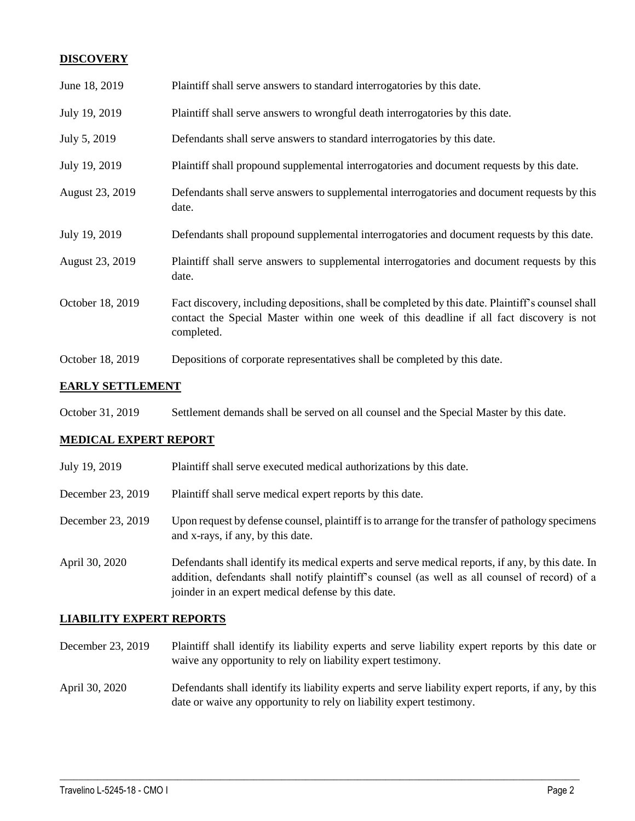## **DISCOVERY**

| June 18, 2019    | Plaintiff shall serve answers to standard interrogatories by this date.                                                                                                                                     |
|------------------|-------------------------------------------------------------------------------------------------------------------------------------------------------------------------------------------------------------|
| July 19, 2019    | Plaintiff shall serve answers to wrongful death interrogatories by this date.                                                                                                                               |
| July 5, 2019     | Defendants shall serve answers to standard interrogatories by this date.                                                                                                                                    |
| July 19, 2019    | Plaintiff shall propound supplemental interrogatories and document requests by this date.                                                                                                                   |
| August 23, 2019  | Defendants shall serve answers to supplemental interrogatories and document requests by this<br>date.                                                                                                       |
| July 19, 2019    | Defendants shall propound supplemental interrogatories and document requests by this date.                                                                                                                  |
|                  |                                                                                                                                                                                                             |
| August 23, 2019  | Plaintiff shall serve answers to supplemental interrogatories and document requests by this<br>date.                                                                                                        |
| October 18, 2019 | Fact discovery, including depositions, shall be completed by this date. Plaintiff's counsel shall<br>contact the Special Master within one week of this deadline if all fact discovery is not<br>completed. |

#### **EARLY SETTLEMENT**

| October 31, 2019 | Settlement demands shall be served on all counsel and the Special Master by this date. |  |
|------------------|----------------------------------------------------------------------------------------|--|
|------------------|----------------------------------------------------------------------------------------|--|

## **MEDICAL EXPERT REPORT**

| July 19, 2019     | Plaintiff shall serve executed medical authorizations by this date.                                                                                                                                                                                      |
|-------------------|----------------------------------------------------------------------------------------------------------------------------------------------------------------------------------------------------------------------------------------------------------|
| December 23, 2019 | Plaintiff shall serve medical expert reports by this date.                                                                                                                                                                                               |
| December 23, 2019 | Upon request by defense counsel, plaintiff is to arrange for the transfer of pathology specimens<br>and x-rays, if any, by this date.                                                                                                                    |
| April 30, 2020    | Defendants shall identify its medical experts and serve medical reports, if any, by this date. In<br>addition, defendants shall notify plaintiff's counsel (as well as all counsel of record) of a<br>joinder in an expert medical defense by this date. |

## **LIABILITY EXPERT REPORTS**

- December 23, 2019 Plaintiff shall identify its liability experts and serve liability expert reports by this date or waive any opportunity to rely on liability expert testimony.
- April 30, 2020 Defendants shall identify its liability experts and serve liability expert reports, if any, by this date or waive any opportunity to rely on liability expert testimony.

 $\_$  , and the set of the set of the set of the set of the set of the set of the set of the set of the set of the set of the set of the set of the set of the set of the set of the set of the set of the set of the set of th